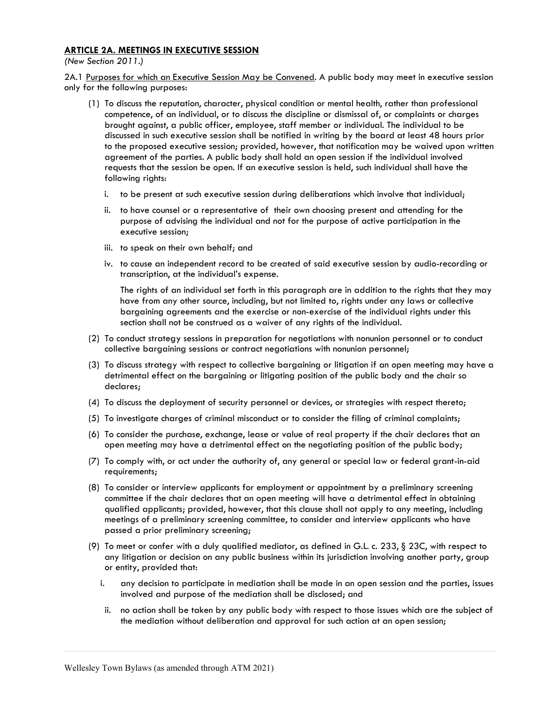## ARTICLE 2A. MEETINGS IN EXECUTIVE SESSION

(New Section 2011.)

2A.1 Purposes for which an Executive Session May be Convened. A public body may meet in executive session only for the following purposes:

- (1) To discuss the reputation, character, physical condition or mental health, rather than professional competence, of an individual, or to discuss the discipline or dismissal of, or complaints or charges brought against, a public officer, employee, staff member or individual. The individual to be discussed in such executive session shall be notified in writing by the board at least 48 hours prior to the proposed executive session; provided, however, that notification may be waived upon written agreement of the parties. A public body shall hold an open session if the individual involved requests that the session be open. If an executive session is held, such individual shall have the following rights:
	- i. to be present at such executive session during deliberations which involve that individual;
	- ii. to have counsel or a representative of their own choosing present and attending for the purpose of advising the individual and not for the purpose of active participation in the executive session;
	- iii. to speak on their own behalf; and
	- iv. to cause an independent record to be created of said executive session by audio-recording or transcription, at the individual's expense.

The rights of an individual set forth in this paragraph are in addition to the rights that they may have from any other source, including, but not limited to, rights under any laws or collective bargaining agreements and the exercise or non-exercise of the individual rights under this section shall not be construed as a waiver of any rights of the individual.

- (2) To conduct strategy sessions in preparation for negotiations with nonunion personnel or to conduct collective bargaining sessions or contract negotiations with nonunion personnel;
- (3) To discuss strategy with respect to collective bargaining or litigation if an open meeting may have a detrimental effect on the bargaining or litigating position of the public body and the chair so declares;
- (4) To discuss the deployment of security personnel or devices, or strategies with respect thereto;
- (5) To investigate charges of criminal misconduct or to consider the filing of criminal complaints;
- (6) To consider the purchase, exchange, lease or value of real property if the chair declares that an open meeting may have a detrimental effect on the negotiating position of the public body;
- (7) To comply with, or act under the authority of, any general or special law or federal grant-in-aid requirements;
- (8) To consider or interview applicants for employment or appointment by a preliminary screening committee if the chair declares that an open meeting will have a detrimental effect in obtaining qualified applicants; provided, however, that this clause shall not apply to any meeting, including meetings of a preliminary screening committee, to consider and interview applicants who have passed a prior preliminary screening;
- (9) To meet or confer with a duly qualified mediator, as defined in G.L. c. 233, § 23C, with respect to any litigation or decision on any public business within its jurisdiction involving another party, group or entity, provided that:
	- i. any decision to participate in mediation shall be made in an open session and the parties, issues involved and purpose of the mediation shall be disclosed; and
	- ii. no action shall be taken by any public body with respect to those issues which are the subject of the mediation without deliberation and approval for such action at an open session;